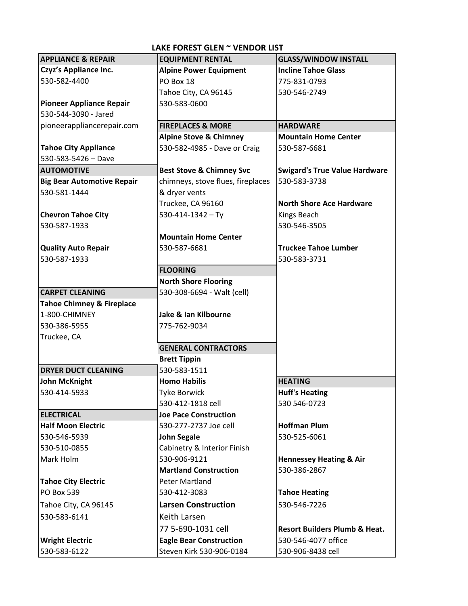| <b>APPLIANCE &amp; REPAIR</b>        | <b>EQUIPMENT RENTAL</b>             | <b>GLASS/WINDOW INSTALL</b>              |
|--------------------------------------|-------------------------------------|------------------------------------------|
| <b>Czyz's Appliance Inc.</b>         | <b>Alpine Power Equipment</b>       | <b>Incline Tahoe Glass</b>               |
| 530-582-4400                         | PO Box 18                           | 775-831-0793                             |
|                                      | Tahoe City, CA 96145                | 530-546-2749                             |
| <b>Pioneer Appliance Repair</b>      | 530-583-0600                        |                                          |
| 530-544-3090 - Jared                 |                                     |                                          |
| pioneerappliancerepair.com           | <b>FIREPLACES &amp; MORE</b>        | <b>HARDWARE</b>                          |
|                                      | <b>Alpine Stove &amp; Chimney</b>   | <b>Mountain Home Center</b>              |
| <b>Tahoe City Appliance</b>          | 530-582-4985 - Dave or Craig        | 530-587-6681                             |
| $530 - 583 - 5426 - Dave$            |                                     |                                          |
| <b>AUTOMOTIVE</b>                    | <b>Best Stove &amp; Chimney Svc</b> | <b>Swigard's True Value Hardware</b>     |
| <b>Big Bear Automotive Repair</b>    | chimneys, stove flues, fireplaces   | 530-583-3738                             |
| 530-581-1444                         | & dryer vents                       |                                          |
|                                      | Truckee, CA 96160                   | <b>North Shore Ace Hardware</b>          |
| <b>Chevron Tahoe City</b>            | $530 - 414 - 1342 - Ty$             | Kings Beach                              |
| 530-587-1933                         |                                     | 530-546-3505                             |
|                                      | <b>Mountain Home Center</b>         |                                          |
| <b>Quality Auto Repair</b>           | 530-587-6681                        | <b>Truckee Tahoe Lumber</b>              |
| 530-587-1933                         |                                     | 530-583-3731                             |
|                                      | <b>FLOORING</b>                     |                                          |
|                                      | <b>North Shore Flooring</b>         |                                          |
| <b>CARPET CLEANING</b>               | 530-308-6694 - Walt (cell)          |                                          |
| <b>Tahoe Chimney &amp; Fireplace</b> |                                     |                                          |
| 1-800-CHIMNEY                        | Jake & Ian Kilbourne                |                                          |
| 530-386-5955                         | 775-762-9034                        |                                          |
| Truckee, CA                          |                                     |                                          |
|                                      | <b>GENERAL CONTRACTORS</b>          |                                          |
|                                      | <b>Brett Tippin</b>                 |                                          |
| <b>DRYER DUCT CLEANING</b>           | 530-583-1511                        |                                          |
| <b>John McKnight</b>                 | <b>Homo Habilis</b>                 | <b>HEATING</b>                           |
| 530-414-5933                         | <b>Tyke Borwick</b>                 | <b>Huff's Heating</b>                    |
|                                      | 530-412-1818 cell                   | 530 546-0723                             |
| <b>ELECTRICAL</b>                    | <b>Joe Pace Construction</b>        |                                          |
| <b>Half Moon Electric</b>            | 530-277-2737 Joe cell               | <b>Hoffman Plum</b>                      |
| 530-546-5939                         | <b>John Segale</b>                  | 530-525-6061                             |
| 530-510-0855                         | Cabinetry & Interior Finish         |                                          |
| Mark Holm                            | 530-906-9121                        | <b>Hennessey Heating &amp; Air</b>       |
|                                      | <b>Martland Construction</b>        | 530-386-2867                             |
| <b>Tahoe City Electric</b>           | <b>Peter Martland</b>               |                                          |
| <b>PO Box 539</b>                    | 530-412-3083                        | <b>Tahoe Heating</b>                     |
| Tahoe City, CA 96145                 | <b>Larsen Construction</b>          | 530-546-7226                             |
| 530-583-6141                         | Keith Larsen                        |                                          |
|                                      | 77 5-690-1031 cell                  | <b>Resort Builders Plumb &amp; Heat.</b> |
| <b>Wright Electric</b>               | <b>Eagle Bear Construction</b>      | 530-546-4077 office                      |
| 530-583-6122                         | Steven Kirk 530-906-0184            | 530-906-8438 cell                        |